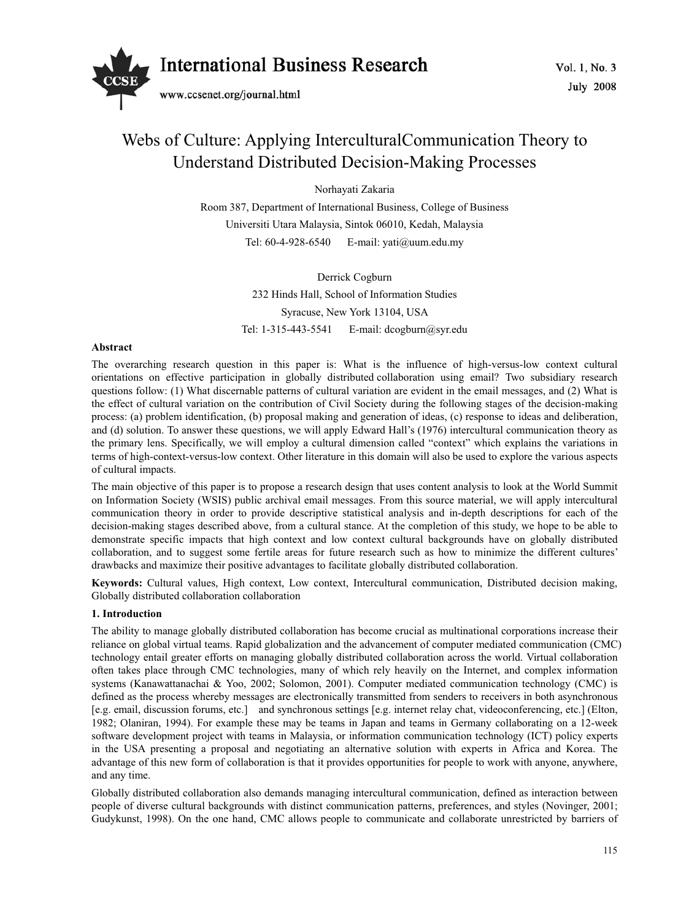

# Webs of Culture: Applying InterculturalCommunication Theory to Understand Distributed Decision-Making Processes

Norhayati Zakaria

Room 387, Department of International Business, College of Business Universiti Utara Malaysia, Sintok 06010, Kedah, Malaysia Tel: 60-4-928-6540 E-mail: yati@uum.edu.my

> Derrick Cogburn 232 Hinds Hall, School of Information Studies Syracuse, New York 13104, USA Tel: 1-315-443-5541 E-mail: dcogburn@syr.edu

### **Abstract**

The overarching research question in this paper is: What is the influence of high-versus-low context cultural orientations on effective participation in globally distributed collaboration using email? Two subsidiary research questions follow: (1) What discernable patterns of cultural variation are evident in the email messages, and (2) What is the effect of cultural variation on the contribution of Civil Society during the following stages of the decision-making process: (a) problem identification, (b) proposal making and generation of ideas, (c) response to ideas and deliberation, and (d) solution. To answer these questions, we will apply Edward Hall's (1976) intercultural communication theory as the primary lens. Specifically, we will employ a cultural dimension called "context" which explains the variations in terms of high-context-versus-low context. Other literature in this domain will also be used to explore the various aspects of cultural impacts.

The main objective of this paper is to propose a research design that uses content analysis to look at the World Summit on Information Society (WSIS) public archival email messages. From this source material, we will apply intercultural communication theory in order to provide descriptive statistical analysis and in-depth descriptions for each of the decision-making stages described above, from a cultural stance. At the completion of this study, we hope to be able to demonstrate specific impacts that high context and low context cultural backgrounds have on globally distributed collaboration, and to suggest some fertile areas for future research such as how to minimize the different cultures' drawbacks and maximize their positive advantages to facilitate globally distributed collaboration.

**Keywords:** Cultural values, High context, Low context, Intercultural communication, Distributed decision making, Globally distributed collaboration collaboration

### **1. Introduction**

The ability to manage globally distributed collaboration has become crucial as multinational corporations increase their reliance on global virtual teams. Rapid globalization and the advancement of computer mediated communication (CMC) technology entail greater efforts on managing globally distributed collaboration across the world. Virtual collaboration often takes place through CMC technologies, many of which rely heavily on the Internet, and complex information systems (Kanawattanachai & Yoo, 2002; Solomon, 2001). Computer mediated communication technology (CMC) is defined as the process whereby messages are electronically transmitted from senders to receivers in both asynchronous [e.g. email, discussion forums, etc.] and synchronous settings [e.g. internet relay chat, videoconferencing, etc.] (Elton, 1982; Olaniran, 1994). For example these may be teams in Japan and teams in Germany collaborating on a 12-week software development project with teams in Malaysia, or information communication technology (ICT) policy experts in the USA presenting a proposal and negotiating an alternative solution with experts in Africa and Korea. The advantage of this new form of collaboration is that it provides opportunities for people to work with anyone, anywhere, and any time.

Globally distributed collaboration also demands managing intercultural communication, defined as interaction between people of diverse cultural backgrounds with distinct communication patterns, preferences, and styles (Novinger, 2001; Gudykunst, 1998). On the one hand, CMC allows people to communicate and collaborate unrestricted by barriers of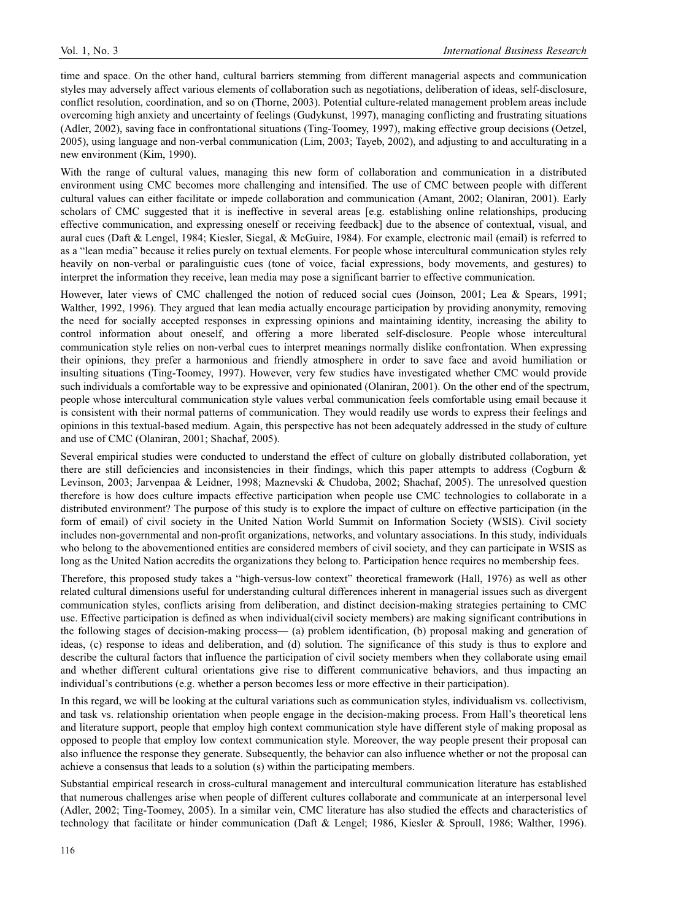time and space. On the other hand, cultural barriers stemming from different managerial aspects and communication styles may adversely affect various elements of collaboration such as negotiations, deliberation of ideas, self-disclosure, conflict resolution, coordination, and so on (Thorne, 2003). Potential culture-related management problem areas include overcoming high anxiety and uncertainty of feelings (Gudykunst, 1997), managing conflicting and frustrating situations (Adler, 2002), saving face in confrontational situations (Ting-Toomey, 1997), making effective group decisions (Oetzel, 2005), using language and non-verbal communication (Lim, 2003; Tayeb, 2002), and adjusting to and acculturating in a new environment (Kim, 1990).

With the range of cultural values, managing this new form of collaboration and communication in a distributed environment using CMC becomes more challenging and intensified. The use of CMC between people with different cultural values can either facilitate or impede collaboration and communication (Amant, 2002; Olaniran, 2001). Early scholars of CMC suggested that it is ineffective in several areas [e.g. establishing online relationships, producing effective communication, and expressing oneself or receiving feedback] due to the absence of contextual, visual, and aural cues (Daft & Lengel, 1984; Kiesler, Siegal, & McGuire, 1984). For example, electronic mail (email) is referred to as a "lean media" because it relies purely on textual elements. For people whose intercultural communication styles rely heavily on non-verbal or paralinguistic cues (tone of voice, facial expressions, body movements, and gestures) to interpret the information they receive, lean media may pose a significant barrier to effective communication.

However, later views of CMC challenged the notion of reduced social cues (Joinson, 2001; Lea & Spears, 1991; Walther, 1992, 1996). They argued that lean media actually encourage participation by providing anonymity, removing the need for socially accepted responses in expressing opinions and maintaining identity, increasing the ability to control information about oneself, and offering a more liberated self-disclosure. People whose intercultural communication style relies on non-verbal cues to interpret meanings normally dislike confrontation. When expressing their opinions, they prefer a harmonious and friendly atmosphere in order to save face and avoid humiliation or insulting situations (Ting-Toomey, 1997). However, very few studies have investigated whether CMC would provide such individuals a comfortable way to be expressive and opinionated (Olaniran, 2001). On the other end of the spectrum, people whose intercultural communication style values verbal communication feels comfortable using email because it is consistent with their normal patterns of communication. They would readily use words to express their feelings and opinions in this textual-based medium. Again, this perspective has not been adequately addressed in the study of culture and use of CMC (Olaniran, 2001; Shachaf, 2005).

Several empirical studies were conducted to understand the effect of culture on globally distributed collaboration, yet there are still deficiencies and inconsistencies in their findings, which this paper attempts to address (Cogburn & Levinson, 2003; Jarvenpaa & Leidner, 1998; Maznevski & Chudoba, 2002; Shachaf, 2005). The unresolved question therefore is how does culture impacts effective participation when people use CMC technologies to collaborate in a distributed environment? The purpose of this study is to explore the impact of culture on effective participation (in the form of email) of civil society in the United Nation World Summit on Information Society (WSIS). Civil society includes non-governmental and non-profit organizations, networks, and voluntary associations. In this study, individuals who belong to the abovementioned entities are considered members of civil society, and they can participate in WSIS as long as the United Nation accredits the organizations they belong to. Participation hence requires no membership fees.

Therefore, this proposed study takes a "high-versus-low context" theoretical framework (Hall, 1976) as well as other related cultural dimensions useful for understanding cultural differences inherent in managerial issues such as divergent communication styles, conflicts arising from deliberation, and distinct decision-making strategies pertaining to CMC use. Effective participation is defined as when individual(civil society members) are making significant contributions in the following stages of decision-making process— (a) problem identification, (b) proposal making and generation of ideas, (c) response to ideas and deliberation, and (d) solution. The significance of this study is thus to explore and describe the cultural factors that influence the participation of civil society members when they collaborate using email and whether different cultural orientations give rise to different communicative behaviors, and thus impacting an individual's contributions (e.g. whether a person becomes less or more effective in their participation).

In this regard, we will be looking at the cultural variations such as communication styles, individualism vs. collectivism, and task vs. relationship orientation when people engage in the decision-making process. From Hall's theoretical lens and literature support, people that employ high context communication style have different style of making proposal as opposed to people that employ low context communication style. Moreover, the way people present their proposal can also influence the response they generate. Subsequently, the behavior can also influence whether or not the proposal can achieve a consensus that leads to a solution (s) within the participating members.

Substantial empirical research in cross-cultural management and intercultural communication literature has established that numerous challenges arise when people of different cultures collaborate and communicate at an interpersonal level (Adler, 2002; Ting-Toomey, 2005). In a similar vein, CMC literature has also studied the effects and characteristics of technology that facilitate or hinder communication (Daft & Lengel; 1986, Kiesler & Sproull, 1986; Walther, 1996).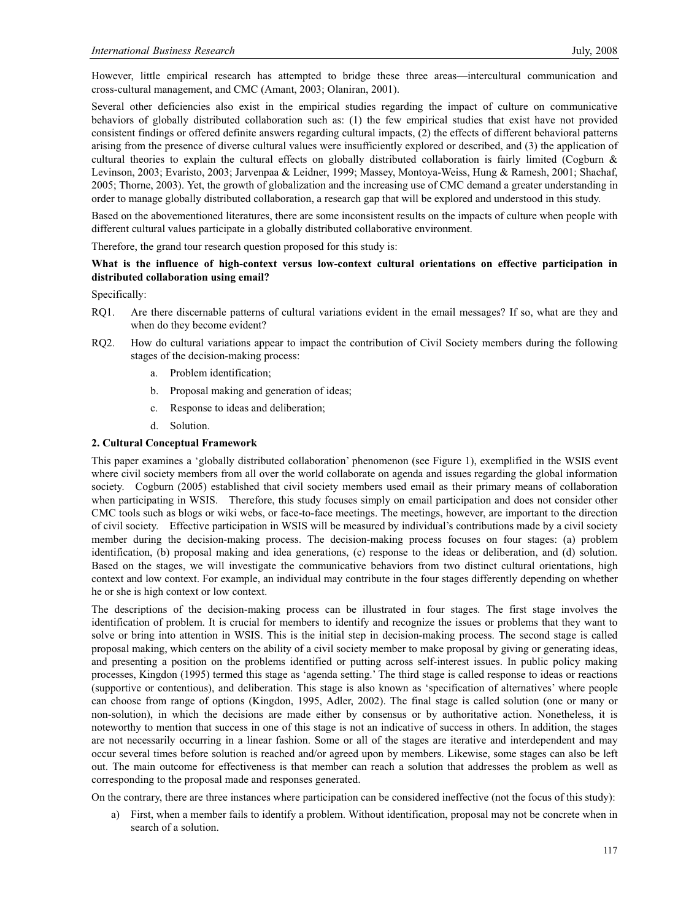However, little empirical research has attempted to bridge these three areas—intercultural communication and cross-cultural management, and CMC (Amant, 2003; Olaniran, 2001).

Several other deficiencies also exist in the empirical studies regarding the impact of culture on communicative behaviors of globally distributed collaboration such as: (1) the few empirical studies that exist have not provided consistent findings or offered definite answers regarding cultural impacts, (2) the effects of different behavioral patterns arising from the presence of diverse cultural values were insufficiently explored or described, and (3) the application of cultural theories to explain the cultural effects on globally distributed collaboration is fairly limited (Cogburn & Levinson, 2003; Evaristo, 2003; Jarvenpaa & Leidner, 1999; Massey, Montoya-Weiss, Hung & Ramesh, 2001; Shachaf, 2005; Thorne, 2003). Yet, the growth of globalization and the increasing use of CMC demand a greater understanding in order to manage globally distributed collaboration, a research gap that will be explored and understood in this study.

Based on the abovementioned literatures, there are some inconsistent results on the impacts of culture when people with different cultural values participate in a globally distributed collaborative environment.

Therefore, the grand tour research question proposed for this study is:

# **What is the influence of high-context versus low-context cultural orientations on effective participation in distributed collaboration using email?**

Specifically:

- RQ1. Are there discernable patterns of cultural variations evident in the email messages? If so, what are they and when do they become evident?
- RQ2. How do cultural variations appear to impact the contribution of Civil Society members during the following stages of the decision-making process:
	- a. Problem identification;
	- b. Proposal making and generation of ideas;
	- c. Response to ideas and deliberation;
	- d. Solution.

# **2. Cultural Conceptual Framework**

This paper examines a 'globally distributed collaboration' phenomenon (see Figure 1), exemplified in the WSIS event where civil society members from all over the world collaborate on agenda and issues regarding the global information society. Cogburn (2005) established that civil society members used email as their primary means of collaboration when participating in WSIS. Therefore, this study focuses simply on email participation and does not consider other CMC tools such as blogs or wiki webs, or face-to-face meetings. The meetings, however, are important to the direction of civil society. Effective participation in WSIS will be measured by individual's contributions made by a civil society member during the decision-making process. The decision-making process focuses on four stages: (a) problem identification, (b) proposal making and idea generations, (c) response to the ideas or deliberation, and (d) solution. Based on the stages, we will investigate the communicative behaviors from two distinct cultural orientations, high context and low context. For example, an individual may contribute in the four stages differently depending on whether he or she is high context or low context.

The descriptions of the decision-making process can be illustrated in four stages. The first stage involves the identification of problem. It is crucial for members to identify and recognize the issues or problems that they want to solve or bring into attention in WSIS. This is the initial step in decision-making process. The second stage is called proposal making, which centers on the ability of a civil society member to make proposal by giving or generating ideas, and presenting a position on the problems identified or putting across self-interest issues. In public policy making processes, Kingdon (1995) termed this stage as 'agenda setting.' The third stage is called response to ideas or reactions (supportive or contentious), and deliberation. This stage is also known as 'specification of alternatives' where people can choose from range of options (Kingdon, 1995, Adler, 2002). The final stage is called solution (one or many or non-solution), in which the decisions are made either by consensus or by authoritative action. Nonetheless, it is noteworthy to mention that success in one of this stage is not an indicative of success in others. In addition, the stages are not necessarily occurring in a linear fashion. Some or all of the stages are iterative and interdependent and may occur several times before solution is reached and/or agreed upon by members. Likewise, some stages can also be left out. The main outcome for effectiveness is that member can reach a solution that addresses the problem as well as corresponding to the proposal made and responses generated.

On the contrary, there are three instances where participation can be considered ineffective (not the focus of this study):

a) First, when a member fails to identify a problem. Without identification, proposal may not be concrete when in search of a solution.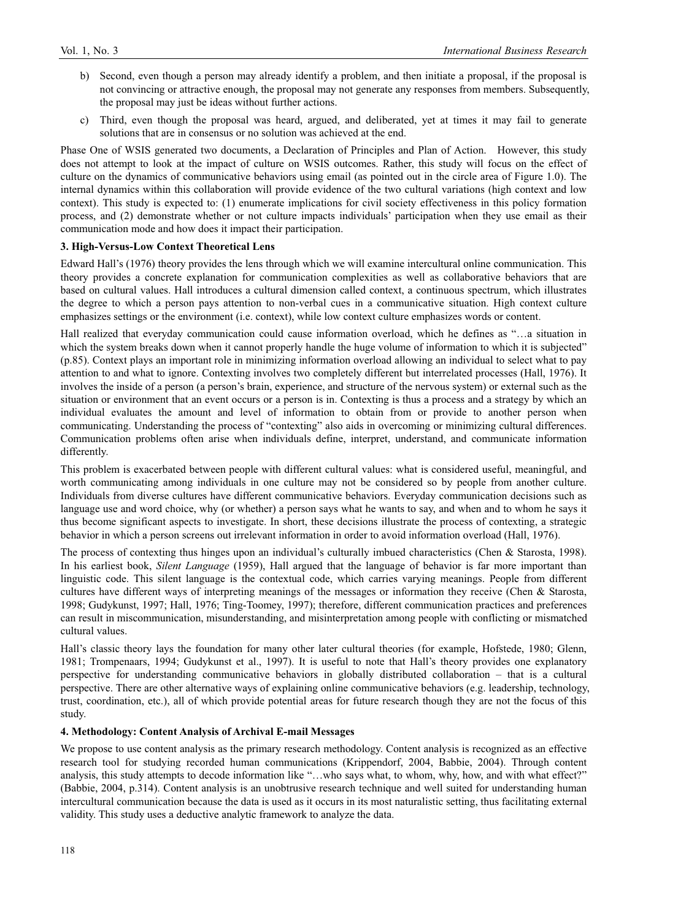- b) Second, even though a person may already identify a problem, and then initiate a proposal, if the proposal is not convincing or attractive enough, the proposal may not generate any responses from members. Subsequently, the proposal may just be ideas without further actions.
- c) Third, even though the proposal was heard, argued, and deliberated, yet at times it may fail to generate solutions that are in consensus or no solution was achieved at the end.

Phase One of WSIS generated two documents, a Declaration of Principles and Plan of Action. However, this study does not attempt to look at the impact of culture on WSIS outcomes. Rather, this study will focus on the effect of culture on the dynamics of communicative behaviors using email (as pointed out in the circle area of Figure 1.0). The internal dynamics within this collaboration will provide evidence of the two cultural variations (high context and low context). This study is expected to: (1) enumerate implications for civil society effectiveness in this policy formation process, and (2) demonstrate whether or not culture impacts individuals' participation when they use email as their communication mode and how does it impact their participation.

#### **3. High-Versus-Low Context Theoretical Lens**

Edward Hall's (1976) theory provides the lens through which we will examine intercultural online communication. This theory provides a concrete explanation for communication complexities as well as collaborative behaviors that are based on cultural values. Hall introduces a cultural dimension called context, a continuous spectrum, which illustrates the degree to which a person pays attention to non-verbal cues in a communicative situation. High context culture emphasizes settings or the environment (i.e. context), while low context culture emphasizes words or content.

Hall realized that everyday communication could cause information overload, which he defines as "…a situation in which the system breaks down when it cannot properly handle the huge volume of information to which it is subjected" (p.85). Context plays an important role in minimizing information overload allowing an individual to select what to pay attention to and what to ignore. Contexting involves two completely different but interrelated processes (Hall, 1976). It involves the inside of a person (a person's brain, experience, and structure of the nervous system) or external such as the situation or environment that an event occurs or a person is in. Contexting is thus a process and a strategy by which an individual evaluates the amount and level of information to obtain from or provide to another person when communicating. Understanding the process of "contexting" also aids in overcoming or minimizing cultural differences. Communication problems often arise when individuals define, interpret, understand, and communicate information differently.

This problem is exacerbated between people with different cultural values: what is considered useful, meaningful, and worth communicating among individuals in one culture may not be considered so by people from another culture. Individuals from diverse cultures have different communicative behaviors. Everyday communication decisions such as language use and word choice, why (or whether) a person says what he wants to say, and when and to whom he says it thus become significant aspects to investigate. In short, these decisions illustrate the process of contexting, a strategic behavior in which a person screens out irrelevant information in order to avoid information overload (Hall, 1976).

The process of contexting thus hinges upon an individual's culturally imbued characteristics (Chen & Starosta, 1998). In his earliest book, *Silent Language* (1959), Hall argued that the language of behavior is far more important than linguistic code. This silent language is the contextual code, which carries varying meanings. People from different cultures have different ways of interpreting meanings of the messages or information they receive (Chen & Starosta, 1998; Gudykunst, 1997; Hall, 1976; Ting-Toomey, 1997); therefore, different communication practices and preferences can result in miscommunication, misunderstanding, and misinterpretation among people with conflicting or mismatched cultural values.

Hall's classic theory lays the foundation for many other later cultural theories (for example, Hofstede, 1980; Glenn, 1981; Trompenaars, 1994; Gudykunst et al., 1997). It is useful to note that Hall's theory provides one explanatory perspective for understanding communicative behaviors in globally distributed collaboration – that is a cultural perspective. There are other alternative ways of explaining online communicative behaviors (e.g. leadership, technology, trust, coordination, etc.), all of which provide potential areas for future research though they are not the focus of this study.

# **4. Methodology: Content Analysis of Archival E-mail Messages**

We propose to use content analysis as the primary research methodology. Content analysis is recognized as an effective research tool for studying recorded human communications (Krippendorf, 2004, Babbie, 2004). Through content analysis, this study attempts to decode information like "…who says what, to whom, why, how, and with what effect?" (Babbie, 2004, p.314). Content analysis is an unobtrusive research technique and well suited for understanding human intercultural communication because the data is used as it occurs in its most naturalistic setting, thus facilitating external validity. This study uses a deductive analytic framework to analyze the data.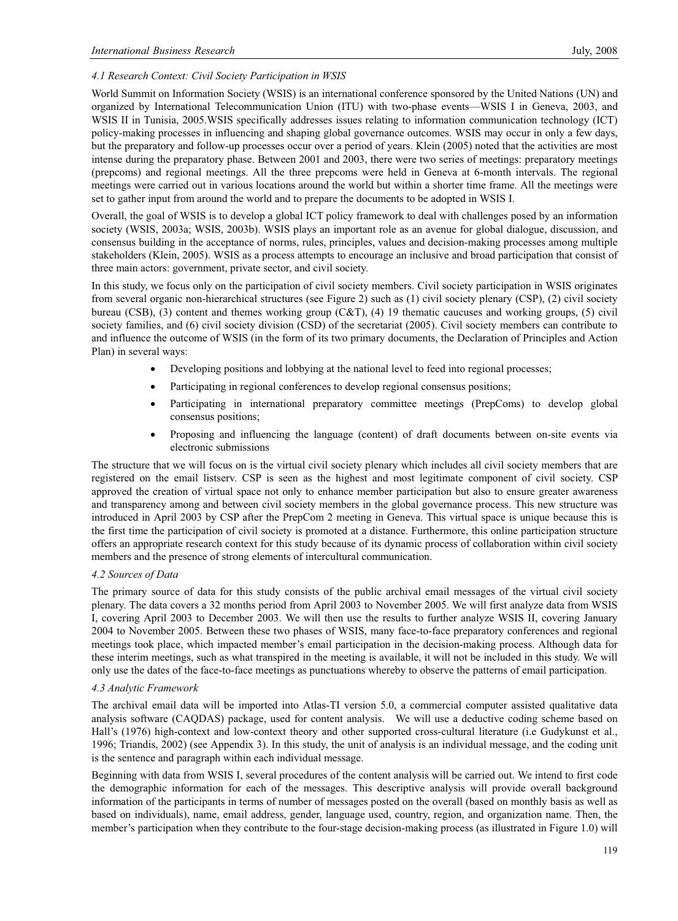# *4.1 Research Context: Civil Society Participation in WSIS*

World Summit on Information Society (WSIS) is an international conference sponsored by the United Nations (UN) and organized by International Telecommunication Union (ITU) with two-phase events—WSIS I in Geneva, 2003, and WSIS II in Tunisia, 2005. WSIS specifically addresses issues relating to information communication technology (ICT) policy-making processes in influencing and shaping global governance outcomes. WSIS may occur in only a few days, but the preparatory and follow-up processes occur over a period of years. Klein (2005) noted that the activities are most intense during the preparatory phase. Between 2001 and 2003, there were two series of meetings: preparatory meetings (prepcoms) and regional meetings. All the three prepcoms were held in Geneva at 6-month intervals. The regional meetings were carried out in various locations around the world but within a shorter time frame. All the meetings were set to gather input from around the world and to prepare the documents to be adopted in WSIS I.

Overall, the goal of WSIS is to develop a global ICT policy framework to deal with challenges posed by an information society (WSIS, 2003a; WSIS, 2003b). WSIS plays an important role as an avenue for global dialogue, discussion, and consensus building in the acceptance of norms, rules, principles, values and decision-making processes among multiple stakeholders (Klein, 2005). WSIS as a process attempts to encourage an inclusive and broad participation that consist of three main actors: government, private sector, and civil society.

In this study, we focus only on the participation of civil society members. Civil society participation in WSIS originates from several organic non-hierarchical structures (see Figure 2) such as (1) civil society plenary (CSP), (2) civil society bureau (CSB), (3) content and themes working group (C&T), (4) 19 thematic caucuses and working groups, (5) civil society families, and (6) civil society division (CSD) of the secretariat (2005). Civil society members can contribute to and influence the outcome of WSIS (in the form of its two primary documents, the Declaration of Principles and Action Plan) in several ways:

- Developing positions and lobbying at the national level to feed into regional processes;
- Participating in regional conferences to develop regional consensus positions;
- Participating in international preparatory committee meetings (PrepComs) to develop global consensus positions;
- Proposing and influencing the language (content) of draft documents between on-site events via electronic submissions

The structure that we will focus on is the virtual civil society plenary which includes all civil society members that are registered on the email listserv. CSP is seen as the highest and most legitimate component of civil society. CSP approved the creation of virtual space not only to enhance member participation but also to ensure greater awareness and transparency among and between civil society members in the global governance process. This new structure was introduced in April 2003 by CSP after the PrepCom 2 meeting in Geneva. This virtual space is unique because this is the first time the participation of civil society is promoted at a distance. Furthermore, this online participation structure offers an appropriate research context for this study because of its dynamic process of collaboration within civil society members and the presence of strong elements of intercultural communication.

### *4.2 Sources of Data*

The primary source of data for this study consists of the public archival email messages of the virtual civil society plenary. The data covers a 32 months period from April 2003 to November 2005. We will first analyze data from WSIS I, covering April 2003 to December 2003. We will then use the results to further analyze WSIS II, covering January 2004 to November 2005. Between these two phases of WSIS, many face-to-face preparatory conferences and regional meetings took place, which impacted member's email participation in the decision-making process. Although data for these interim meetings, such as what transpired in the meeting is available, it will not be included in this study. We will only use the dates of the face-to-face meetings as punctuations whereby to observe the patterns of email participation.

### *4.3 Analytic Framework*

The archival email data will be imported into Atlas-TI version 5.0, a commercial computer assisted qualitative data analysis software (CAQDAS) package, used for content analysis. We will use a deductive coding scheme based on Hall's (1976) high-context and low-context theory and other supported cross-cultural literature (i.e Gudykunst et al., 1996; Triandis, 2002) (see Appendix 3). In this study, the unit of analysis is an individual message, and the coding unit is the sentence and paragraph within each individual message.

Beginning with data from WSIS I, several procedures of the content analysis will be carried out. We intend to first code the demographic information for each of the messages. This descriptive analysis will provide overall background information of the participants in terms of number of messages posted on the overall (based on monthly basis as well as based on individuals), name, email address, gender, language used, country, region, and organization name. Then, the member's participation when they contribute to the four-stage decision-making process (as illustrated in Figure 1.0) will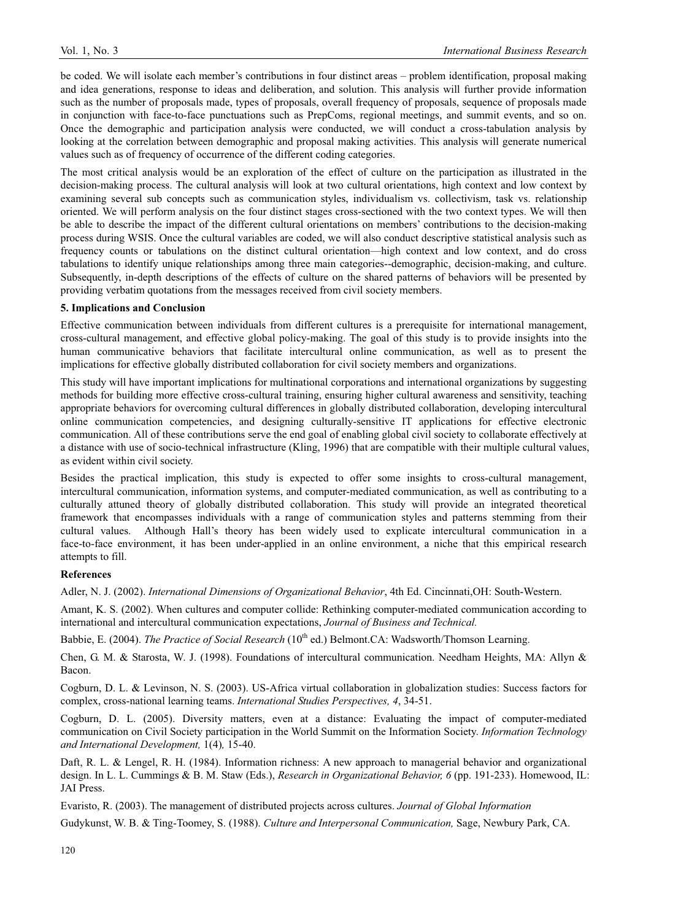be coded. We will isolate each member's contributions in four distinct areas – problem identification, proposal making and idea generations, response to ideas and deliberation, and solution. This analysis will further provide information such as the number of proposals made, types of proposals, overall frequency of proposals, sequence of proposals made in conjunction with face-to-face punctuations such as PrepComs, regional meetings, and summit events, and so on. Once the demographic and participation analysis were conducted, we will conduct a cross-tabulation analysis by looking at the correlation between demographic and proposal making activities. This analysis will generate numerical values such as of frequency of occurrence of the different coding categories.

The most critical analysis would be an exploration of the effect of culture on the participation as illustrated in the decision-making process. The cultural analysis will look at two cultural orientations, high context and low context by examining several sub concepts such as communication styles, individualism vs. collectivism, task vs. relationship oriented. We will perform analysis on the four distinct stages cross-sectioned with the two context types. We will then be able to describe the impact of the different cultural orientations on members' contributions to the decision-making process during WSIS. Once the cultural variables are coded, we will also conduct descriptive statistical analysis such as frequency counts or tabulations on the distinct cultural orientation—high context and low context, and do cross tabulations to identify unique relationships among three main categories--demographic, decision-making, and culture. Subsequently, in-depth descriptions of the effects of culture on the shared patterns of behaviors will be presented by providing verbatim quotations from the messages received from civil society members.

### **5. Implications and Conclusion**

Effective communication between individuals from different cultures is a prerequisite for international management, cross-cultural management, and effective global policy-making. The goal of this study is to provide insights into the human communicative behaviors that facilitate intercultural online communication, as well as to present the implications for effective globally distributed collaboration for civil society members and organizations.

This study will have important implications for multinational corporations and international organizations by suggesting methods for building more effective cross-cultural training, ensuring higher cultural awareness and sensitivity, teaching appropriate behaviors for overcoming cultural differences in globally distributed collaboration, developing intercultural online communication competencies, and designing culturally-sensitive IT applications for effective electronic communication. All of these contributions serve the end goal of enabling global civil society to collaborate effectively at a distance with use of socio-technical infrastructure (Kling, 1996) that are compatible with their multiple cultural values, as evident within civil society.

Besides the practical implication, this study is expected to offer some insights to cross-cultural management, intercultural communication, information systems, and computer-mediated communication, as well as contributing to a culturally attuned theory of globally distributed collaboration. This study will provide an integrated theoretical framework that encompasses individuals with a range of communication styles and patterns stemming from their cultural values. Although Hall's theory has been widely used to explicate intercultural communication in a face-to-face environment, it has been under-applied in an online environment, a niche that this empirical research attempts to fill.

# **References**

Adler, N. J. (2002). *International Dimensions of Organizational Behavior*, 4th Ed. Cincinnati,OH: South-Western.

Amant, K. S. (2002). When cultures and computer collide: Rethinking computer-mediated communication according to international and intercultural communication expectations, *Journal of Business and Technical.* 

Babbie, E. (2004). *The Practice of Social Research* (10<sup>th</sup> ed.) Belmont.CA: Wadsworth/Thomson Learning.

Chen, G. M. & Starosta, W. J. (1998). Foundations of intercultural communication. Needham Heights, MA: Allyn & Bacon.

Cogburn, D. L. & Levinson, N. S. (2003). US-Africa virtual collaboration in globalization studies: Success factors for complex, cross-national learning teams. *International Studies Perspectives, 4*, 34-51.

Cogburn, D. L. (2005). Diversity matters, even at a distance: Evaluating the impact of computer-mediated communication on Civil Society participation in the World Summit on the Information Society. *Information Technology and International Development,* 1(4)*,* 15-40.

Daft, R. L. & Lengel, R. H. (1984). Information richness: A new approach to managerial behavior and organizational design. In L. L. Cummings & B. M. Staw (Eds.), *Research in Organizational Behavior, 6* (pp. 191-233). Homewood, IL: JAI Press.

Evaristo, R. (2003). The management of distributed projects across cultures. *Journal of Global Information* 

Gudykunst, W. B. & Ting-Toomey, S. (1988). *Culture and Interpersonal Communication,* Sage, Newbury Park, CA.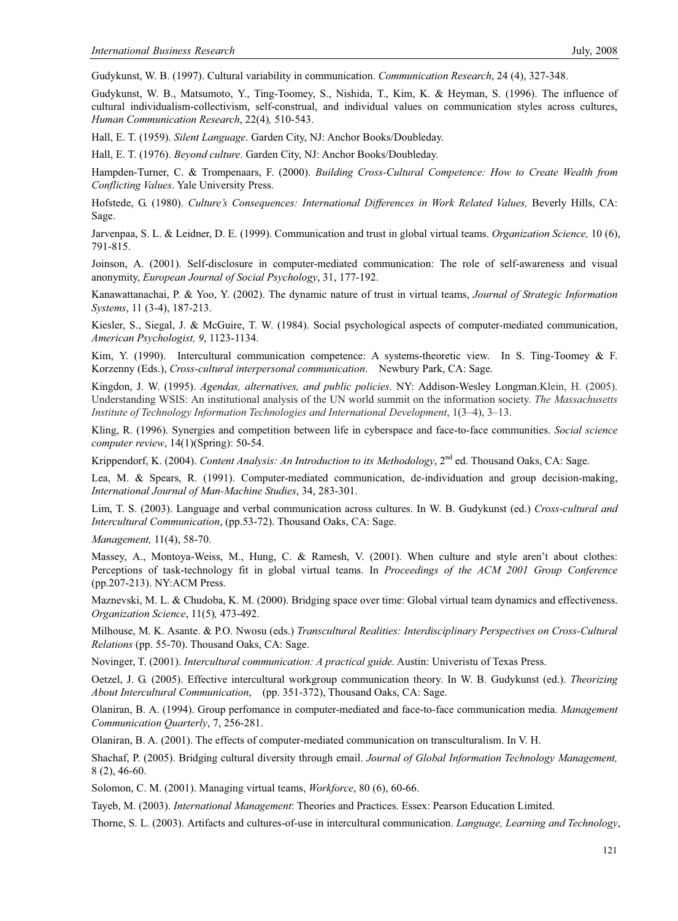Gudykunst, W. B. (1997). Cultural variability in communication. *Communication Research*, 24 (4), 327-348.

Gudykunst, W. B., Matsumoto, Y., Ting-Toomey, S., Nishida, T., Kim, K. & Heyman, S. (1996). The influence of cultural individualism-collectivism, self-construal, and individual values on communication styles across cultures, *Human Communication Research*, 22(4)*,* 510-543.

Hall, E. T. (1959). *Silent Language*. Garden City, NJ: Anchor Books/Doubleday.

Hall, E. T. (1976). *Beyond culture*. Garden City, NJ: Anchor Books/Doubleday.

Hampden-Turner, C. & Trompenaars, F. (2000). *Building Cross-Cultural Competence: How to Create Wealth from Conflicting Values*. Yale University Press.

Hofstede, G. (1980). *Culture's Consequences: International Differences in Work Related Values,* Beverly Hills, CA: Sage.

Jarvenpaa, S. L. & Leidner, D. E. (1999). Communication and trust in global virtual teams. *Organization Science,* 10 (6), 791-815.

Joinson, A. (2001). Self-disclosure in computer-mediated communication: The role of self-awareness and visual anonymity, *European Journal of Social Psychology*, 31, 177-192.

Kanawattanachai, P. & Yoo, Y. (2002). The dynamic nature of trust in virtual teams, *Journal of Strategic Information Systems*, 11 (3-4), 187-213.

Kiesler, S., Siegal, J. & McGuire, T. W. (1984). Social psychological aspects of computer-mediated communication, *American Psychologist, 9*, 1123-1134.

Kim, Y. (1990). Intercultural communication competence: A systems-theoretic view. In S. Ting-Toomey & F. Korzenny (Eds.), *Cross-cultural interpersonal communication*. Newbury Park, CA: Sage.

Kingdon, J. W. (1995). *Agendas, alternatives, and public policies*. NY: Addison-Wesley Longman.Klein, H. (2005). Understanding WSIS: An institutional analysis of the UN world summit on the information society. *The Massachusetts Institute of Technology Information Technologies and International Development*, 1(3–4), 3–13.

Kling, R. (1996). Synergies and competition between life in cyberspace and face-to-face communities. *Social science computer review*, 14(1)(Spring): 50-54.

Krippendorf, K. (2004). *Content Analysis: An Introduction to its Methodology*, 2<sup>nd</sup> ed. Thousand Oaks, CA: Sage.

Lea, M. & Spears, R. (1991). Computer-mediated communication, de-individuation and group decision-making, *International Journal of Man-Machine Studies*, 34, 283-301.

Lim, T. S. (2003). Language and verbal communication across cultures. In W. B. Gudykunst (ed.) *Cross-cultural and Intercultural Communication*, (pp.53-72). Thousand Oaks, CA: Sage.

*Management,* 11(4), 58-70.

Massey, A., Montoya-Weiss, M., Hung, C. & Ramesh, V. (2001). When culture and style aren't about clothes: Perceptions of task-technology fit in global virtual teams. In *Proceedings of the ACM 2001 Group Conference* (pp.207-213). NY:ACM Press.

Maznevski, M. L. & Chudoba, K. M. (2000). Bridging space over time: Global virtual team dynamics and effectiveness. *Organization Science*, 11(5)*,* 473-492.

Milhouse, M. K. Asante. & P.O. Nwosu (eds.) *Transcultural Realities: Interdisciplinary Perspectives on Cross-Cultural Relations* (pp. 55-70). Thousand Oaks, CA: Sage.

Novinger, T. (2001). *Intercultural communication: A practical guide.* Austin: Univeristu of Texas Press.

Oetzel, J. G. (2005). Effective intercultural workgroup communication theory. In W. B. Gudykunst (ed.). *Theorizing About Intercultural Communication*, (pp. 351-372), Thousand Oaks, CA: Sage.

Olaniran, B. A. (1994). Group perfomance in computer-mediated and face-to-face communication media. *Management Communication Quarterly*, 7, 256-281.

Olaniran, B. A. (2001). The effects of computer-mediated communication on transculturalism. In V. H.

Shachaf, P. (2005). Bridging cultural diversity through email. *Journal of Global Information Technology Management,* 8 (2), 46-60.

Solomon, C. M. (2001). Managing virtual teams, *Workforce*, 80 (6), 60-66.

Tayeb, M. (2003). *International Management*: Theories and Practices. Essex: Pearson Education Limited.

Thorne, S. L. (2003). Artifacts and cultures-of-use in intercultural communication. *Language, Learning and Technology*,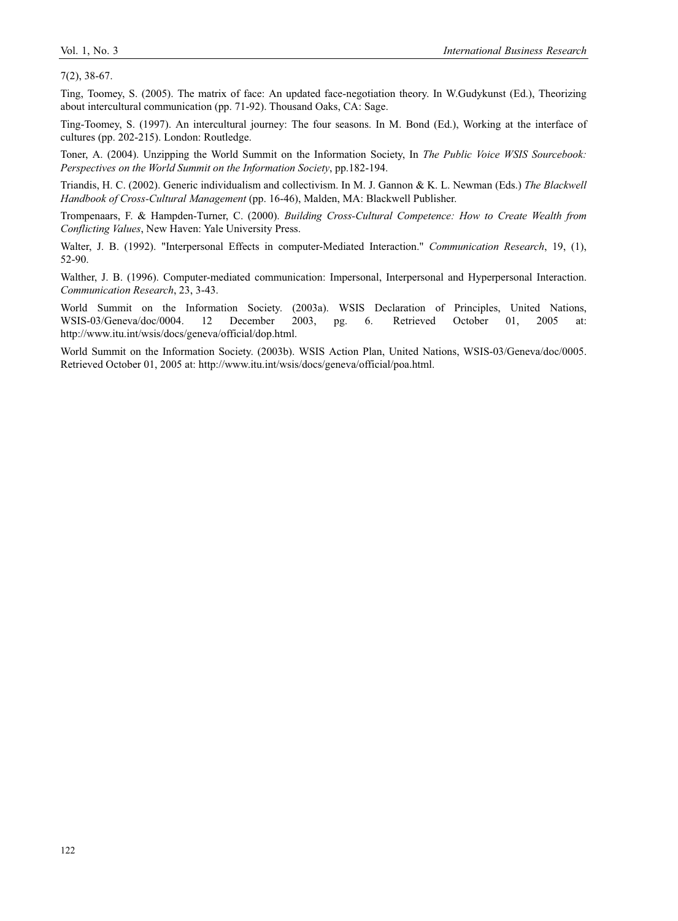7(2), 38-67.

Ting, Toomey, S. (2005). The matrix of face: An updated face-negotiation theory. In W.Gudykunst (Ed.), Theorizing about intercultural communication (pp. 71-92). Thousand Oaks, CA: Sage.

Ting-Toomey, S. (1997). An intercultural journey: The four seasons. In M. Bond (Ed.), Working at the interface of cultures (pp. 202-215). London: Routledge.

Toner, A. (2004). Unzipping the World Summit on the Information Society, In *The Public Voice WSIS Sourcebook: Perspectives on the World Summit on the Information Society*, pp.182-194.

Triandis, H. C. (2002). Generic individualism and collectivism. In M. J. Gannon & K. L. Newman (Eds.) *The Blackwell Handbook of Cross-Cultural Management* (pp. 16-46), Malden, MA: Blackwell Publisher.

Trompenaars, F. & Hampden-Turner, C. (2000). *Building Cross-Cultural Competence: How to Create Wealth from Conflicting Values*, New Haven: Yale University Press.

Walter, J. B. (1992). "Interpersonal Effects in computer-Mediated Interaction." *Communication Research*, 19, (1), 52-90.

Walther, J. B. (1996). Computer-mediated communication: Impersonal, Interpersonal and Hyperpersonal Interaction. *Communication Research*, 23, 3-43.

World Summit on the Information Society. (2003a). WSIS Declaration of Principles, United Nations, WSIS-03/Geneva/doc/0004. 12 December 2003, pg. 6. Retrieved October 01, 2005 at: http://www.itu.int/wsis/docs/geneva/official/dop.html.

World Summit on the Information Society. (2003b). WSIS Action Plan, United Nations, WSIS-03/Geneva/doc/0005. Retrieved October 01, 2005 at: http://www.itu.int/wsis/docs/geneva/official/poa.html.